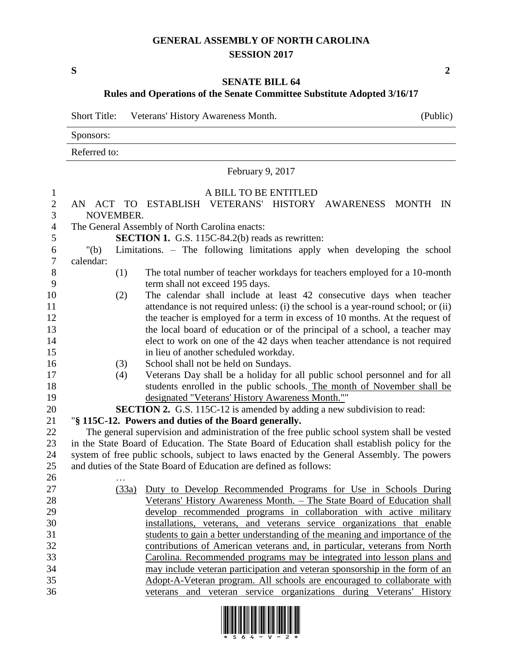## **GENERAL ASSEMBLY OF NORTH CAROLINA SESSION 2017**

**S 2**

## **SENATE BILL 64 Rules and Operations of the Senate Committee Substitute Adopted 3/16/17**

|              | Short Title: Veterans' History Awareness Month. | (Public) |
|--------------|-------------------------------------------------|----------|
| Sponsors:    |                                                 |          |
| Referred to: |                                                 |          |
|              |                                                 |          |

## February 9, 2017

## 1 A BILL TO BE ENTITLED

| $\mathbf{r}$     |                                                                                              | A DILL TO DL LITTLED                                                                        |  |  |  |  |  |
|------------------|----------------------------------------------------------------------------------------------|---------------------------------------------------------------------------------------------|--|--|--|--|--|
| $\mathbf{2}$     |                                                                                              | AN ACT TO ESTABLISH VETERANS' HISTORY AWARENESS MONTH IN                                    |  |  |  |  |  |
| 3                | NOVEMBER.                                                                                    |                                                                                             |  |  |  |  |  |
| $\overline{4}$   |                                                                                              | The General Assembly of North Carolina enacts:                                              |  |  |  |  |  |
| 5                |                                                                                              | <b>SECTION 1.</b> G.S. 115C-84.2(b) reads as rewritten:                                     |  |  |  |  |  |
| $\sqrt{6}$       | " $(b)$                                                                                      | Limitations. - The following limitations apply when developing the school                   |  |  |  |  |  |
| $\boldsymbol{7}$ | calendar:                                                                                    |                                                                                             |  |  |  |  |  |
| 8                | (1)                                                                                          | The total number of teacher workdays for teachers employed for a 10-month                   |  |  |  |  |  |
| 9                |                                                                                              | term shall not exceed 195 days.                                                             |  |  |  |  |  |
| 10               | (2)                                                                                          | The calendar shall include at least 42 consecutive days when teacher                        |  |  |  |  |  |
| 11               |                                                                                              | attendance is not required unless: (i) the school is a year-round school; or (ii)           |  |  |  |  |  |
| 12               |                                                                                              | the teacher is employed for a term in excess of 10 months. At the request of                |  |  |  |  |  |
| 13               |                                                                                              | the local board of education or of the principal of a school, a teacher may                 |  |  |  |  |  |
| 14               |                                                                                              | elect to work on one of the 42 days when teacher attendance is not required                 |  |  |  |  |  |
| 15               |                                                                                              | in lieu of another scheduled workday.                                                       |  |  |  |  |  |
| 16               | (3)                                                                                          | School shall not be held on Sundays.                                                        |  |  |  |  |  |
| 17               | (4)                                                                                          | Veterans Day shall be a holiday for all public school personnel and for all                 |  |  |  |  |  |
| 18               |                                                                                              | students enrolled in the public schools. The month of November shall be                     |  |  |  |  |  |
| 19               |                                                                                              | designated "Veterans' History Awareness Month.""                                            |  |  |  |  |  |
| 20               |                                                                                              | <b>SECTION 2.</b> G.S. 115C-12 is amended by adding a new subdivision to read:              |  |  |  |  |  |
| 21               |                                                                                              | "§ 115C-12. Powers and duties of the Board generally.                                       |  |  |  |  |  |
| 22               |                                                                                              | The general supervision and administration of the free public school system shall be vested |  |  |  |  |  |
| 23               | in the State Board of Education. The State Board of Education shall establish policy for the |                                                                                             |  |  |  |  |  |
| 24               | system of free public schools, subject to laws enacted by the General Assembly. The powers   |                                                                                             |  |  |  |  |  |
| 25               |                                                                                              | and duties of the State Board of Education are defined as follows:                          |  |  |  |  |  |
| 26               |                                                                                              |                                                                                             |  |  |  |  |  |
| 27               | (33a)                                                                                        | Duty to Develop Recommended Programs for Use in Schools During                              |  |  |  |  |  |
| 28               |                                                                                              | Veterans' History Awareness Month. - The State Board of Education shall                     |  |  |  |  |  |
| 29               |                                                                                              | develop recommended programs in collaboration with active military                          |  |  |  |  |  |
| 30               |                                                                                              | installations, veterans, and veterans service organizations that enable                     |  |  |  |  |  |
| 31               |                                                                                              | students to gain a better understanding of the meaning and importance of the                |  |  |  |  |  |
| 32               |                                                                                              | contributions of American veterans and, in particular, veterans from North                  |  |  |  |  |  |
| 33               |                                                                                              | Carolina. Recommended programs may be integrated into lesson plans and                      |  |  |  |  |  |
| 34               |                                                                                              | may include veteran participation and veteran sponsorship in the form of an                 |  |  |  |  |  |
| 35               |                                                                                              | Adopt-A-Veteran program. All schools are encouraged to collaborate with                     |  |  |  |  |  |
| 36               |                                                                                              | veterans and veteran service organizations during Veterans' History                         |  |  |  |  |  |